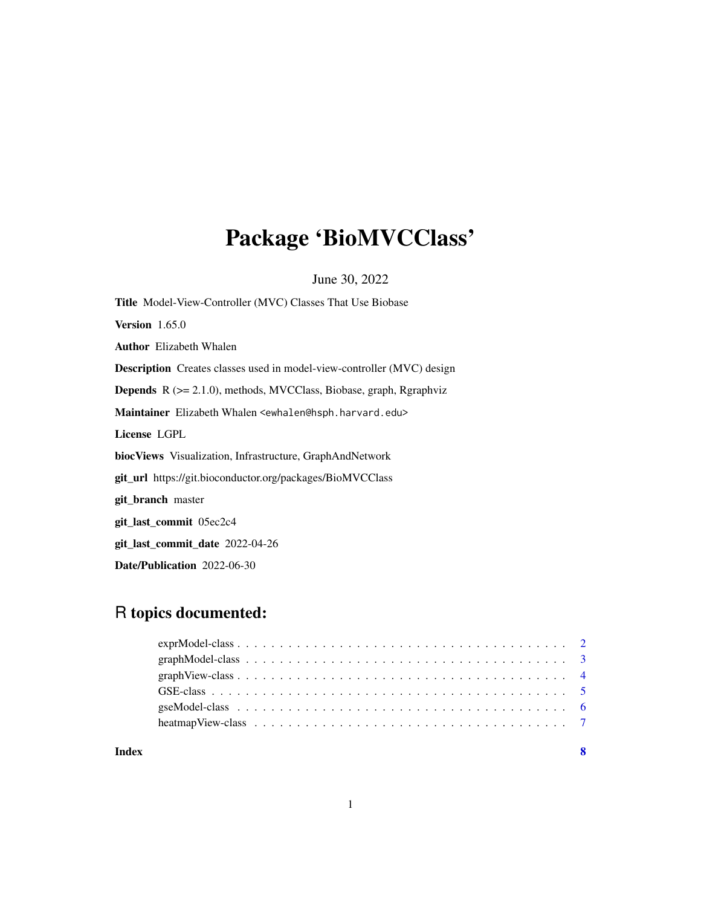# Package 'BioMVCClass'

June 30, 2022

Title Model-View-Controller (MVC) Classes That Use Biobase Version 1.65.0 Author Elizabeth Whalen Description Creates classes used in model-view-controller (MVC) design Depends R (>= 2.1.0), methods, MVCClass, Biobase, graph, Rgraphviz Maintainer Elizabeth Whalen <ewhalen@hsph.harvard.edu> License LGPL biocViews Visualization, Infrastructure, GraphAndNetwork git\_url https://git.bioconductor.org/packages/BioMVCClass git\_branch master git\_last\_commit 05ec2c4 git\_last\_commit\_date 2022-04-26 Date/Publication 2022-06-30

### R topics documented:

| Index |                                                                                                                 | - 8 |
|-------|-----------------------------------------------------------------------------------------------------------------|-----|
|       | heatmap View-class $\ldots \ldots \ldots \ldots \ldots \ldots \ldots \ldots \ldots \ldots \ldots \ldots \ldots$ |     |
|       |                                                                                                                 |     |
|       |                                                                                                                 |     |
|       |                                                                                                                 |     |
|       |                                                                                                                 |     |
|       |                                                                                                                 |     |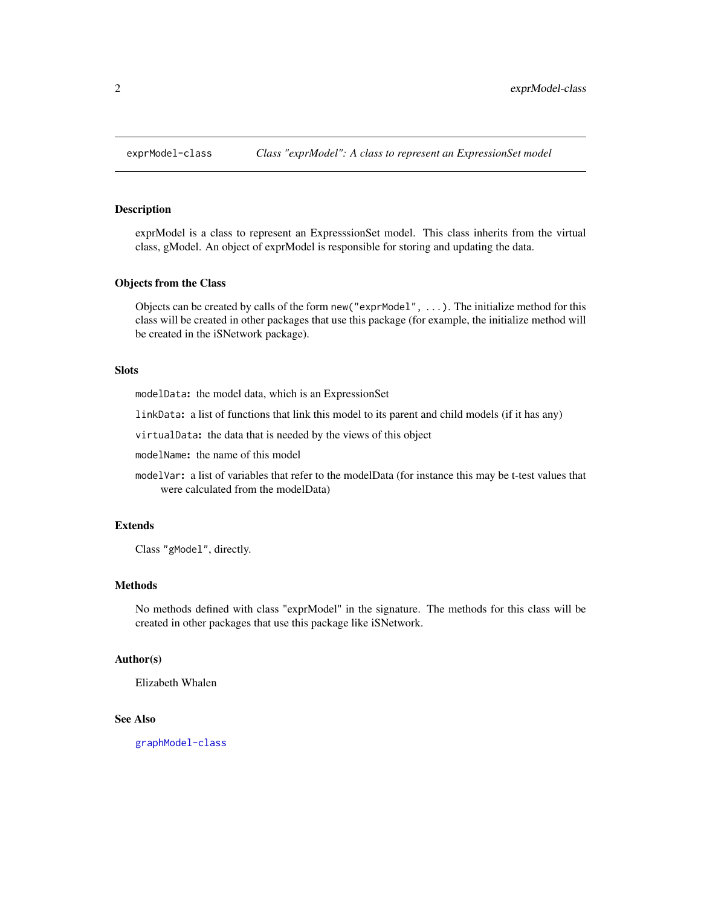<span id="page-1-1"></span><span id="page-1-0"></span>

exprModel is a class to represent an ExpresssionSet model. This class inherits from the virtual class, gModel. An object of exprModel is responsible for storing and updating the data.

#### Objects from the Class

Objects can be created by calls of the form new("exprModel", ...). The initialize method for this class will be created in other packages that use this package (for example, the initialize method will be created in the iSNetwork package).

#### Slots

modelData: the model data, which is an ExpressionSet

linkData: a list of functions that link this model to its parent and child models (if it has any)

virtualData: the data that is needed by the views of this object

modelName: the name of this model

modelVar: a list of variables that refer to the modelData (for instance this may be t-test values that were calculated from the modelData)

#### Extends

Class "gModel", directly.

#### Methods

No methods defined with class "exprModel" in the signature. The methods for this class will be created in other packages that use this package like iSNetwork.

#### Author(s)

Elizabeth Whalen

#### See Also

[graphModel-class](#page-2-1)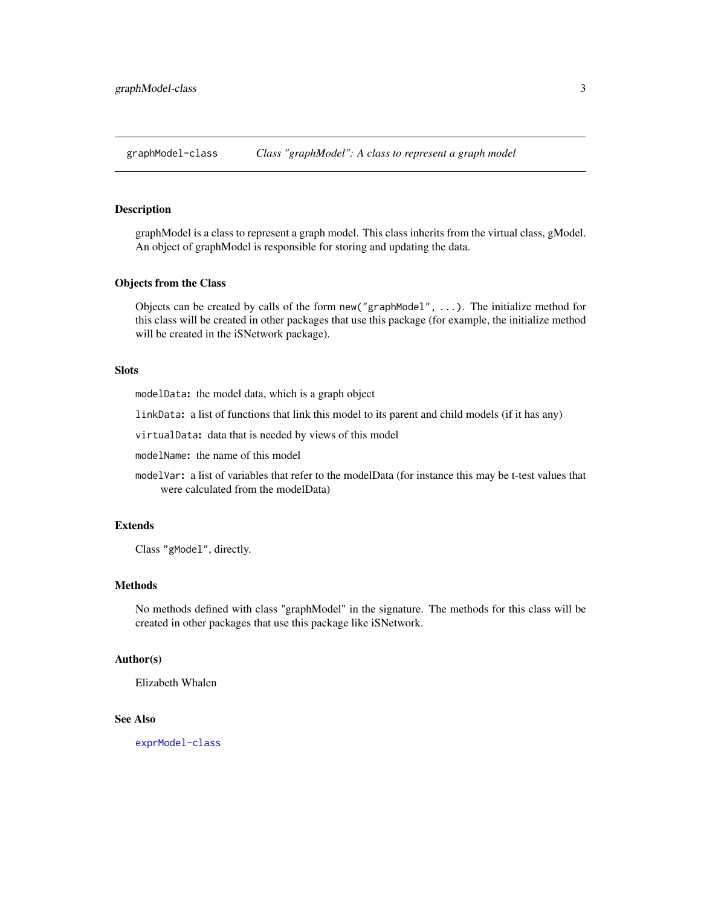<span id="page-2-1"></span><span id="page-2-0"></span>graphModel-class *Class "graphModel": A class to represent a graph model*

#### Description

graphModel is a class to represent a graph model. This class inherits from the virtual class, gModel. An object of graphModel is responsible for storing and updating the data.

#### Objects from the Class

Objects can be created by calls of the form new("graphModel", ...). The initialize method for this class will be created in other packages that use this package (for example, the initialize method will be created in the iSNetwork package).

#### Slots

modelData: the model data, which is a graph object

linkData: a list of functions that link this model to its parent and child models (if it has any)

virtualData: data that is needed by views of this model

modelName: the name of this model

modelVar: a list of variables that refer to the modelData (for instance this may be t-test values that were calculated from the modelData)

#### Extends

Class "gModel", directly.

#### Methods

No methods defined with class "graphModel" in the signature. The methods for this class will be created in other packages that use this package like iSNetwork.

#### Author(s)

Elizabeth Whalen

#### See Also

[exprModel-class](#page-1-1)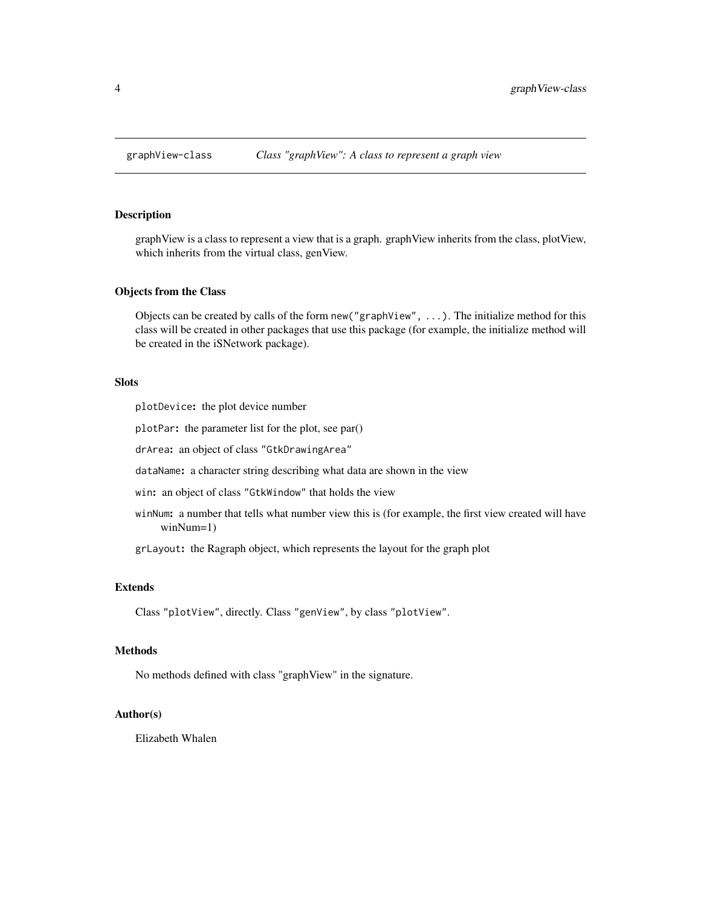<span id="page-3-0"></span>

graphView is a class to represent a view that is a graph. graphView inherits from the class, plotView, which inherits from the virtual class, genView.

#### Objects from the Class

Objects can be created by calls of the form new ("graphView",  $\dots$ ). The initialize method for this class will be created in other packages that use this package (for example, the initialize method will be created in the iSNetwork package).

#### Slots

plotDevice: the plot device number

plotPar: the parameter list for the plot, see par()

drArea: an object of class "GtkDrawingArea"

dataName: a character string describing what data are shown in the view

win: an object of class "GtkWindow" that holds the view

winNum: a number that tells what number view this is (for example, the first view created will have winNum=1)

grLayout: the Ragraph object, which represents the layout for the graph plot

#### Extends

Class "plotView", directly. Class "genView", by class "plotView".

#### Methods

No methods defined with class "graphView" in the signature.

#### Author(s)

Elizabeth Whalen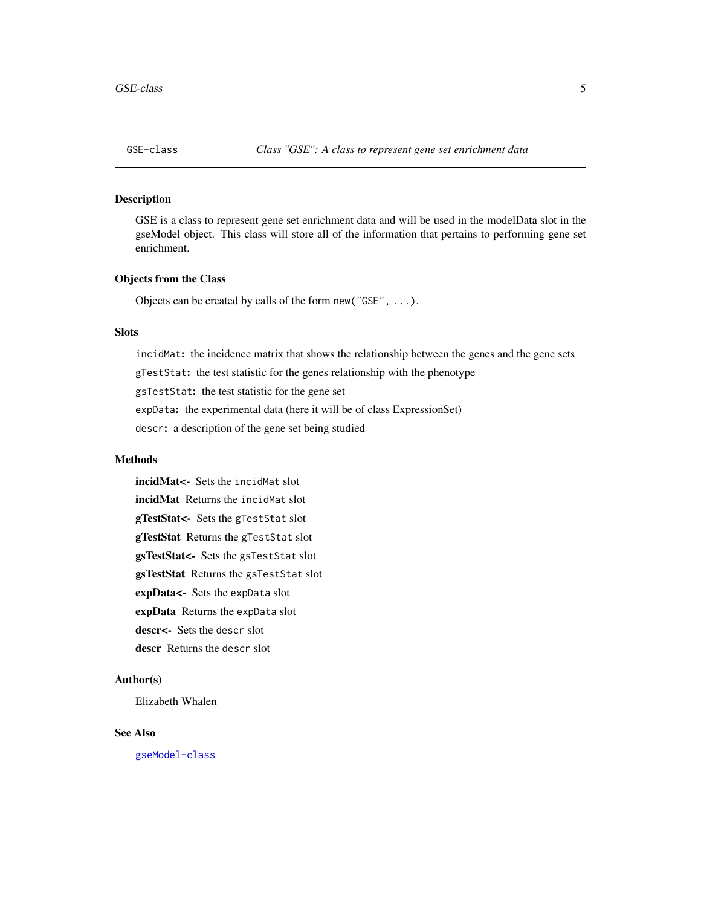<span id="page-4-1"></span><span id="page-4-0"></span>

GSE is a class to represent gene set enrichment data and will be used in the modelData slot in the gseModel object. This class will store all of the information that pertains to performing gene set enrichment.

#### Objects from the Class

Objects can be created by calls of the form new("GSE", ...).

#### Slots

incidMat: the incidence matrix that shows the relationship between the genes and the gene sets gTestStat: the test statistic for the genes relationship with the phenotype gsTestStat: the test statistic for the gene set expData: the experimental data (here it will be of class ExpressionSet)

descr: a description of the gene set being studied

#### **Methods**

incidMat<- Sets the incidMat slot incidMat Returns the incidMat slot gTestStat<- Sets the gTestStat slot gTestStat Returns the gTestStat slot gsTestStat<- Sets the gsTestStat slot gsTestStat Returns the gsTestStat slot expData<- Sets the expData slot expData Returns the expData slot descr<- Sets the descr slot descr Returns the descr slot

#### Author(s)

Elizabeth Whalen

#### See Also

[gseModel-class](#page-5-1)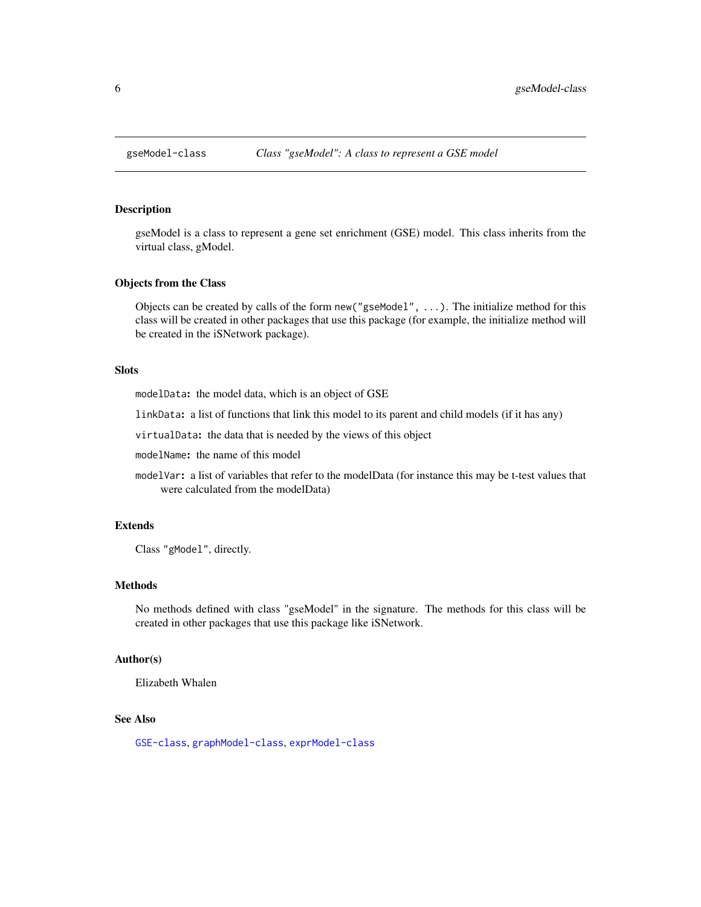<span id="page-5-1"></span><span id="page-5-0"></span>

gseModel is a class to represent a gene set enrichment (GSE) model. This class inherits from the virtual class, gModel.

#### Objects from the Class

Objects can be created by calls of the form new("gseModel", ...). The initialize method for this class will be created in other packages that use this package (for example, the initialize method will be created in the iSNetwork package).

#### Slots

modelData: the model data, which is an object of GSE

linkData: a list of functions that link this model to its parent and child models (if it has any)

virtualData: the data that is needed by the views of this object

modelName: the name of this model

modelVar: a list of variables that refer to the modelData (for instance this may be t-test values that were calculated from the modelData)

#### Extends

Class "gModel", directly.

#### Methods

No methods defined with class "gseModel" in the signature. The methods for this class will be created in other packages that use this package like iSNetwork.

#### Author(s)

Elizabeth Whalen

#### See Also

[GSE-class](#page-4-1), [graphModel-class](#page-2-1), [exprModel-class](#page-1-1)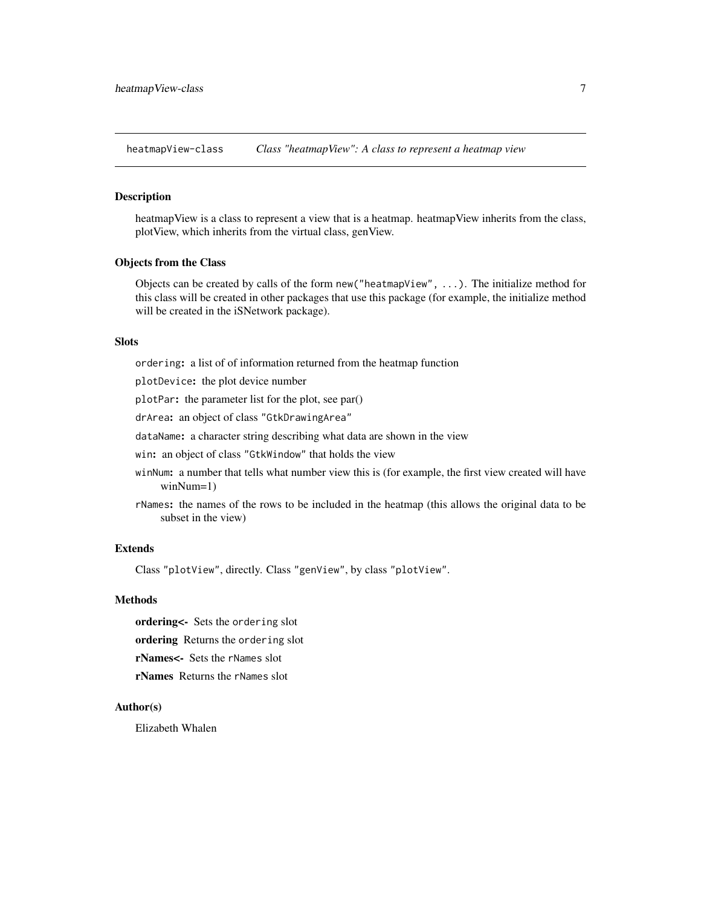<span id="page-6-0"></span>heatmapView-class *Class "heatmapView": A class to represent a heatmap view*

#### Description

heatmapView is a class to represent a view that is a heatmap. heatmapView inherits from the class, plotView, which inherits from the virtual class, genView.

#### Objects from the Class

Objects can be created by calls of the form new("heatmapView", ...). The initialize method for this class will be created in other packages that use this package (for example, the initialize method will be created in the iSNetwork package).

#### Slots

ordering: a list of of information returned from the heatmap function

plotDevice: the plot device number

plotPar: the parameter list for the plot, see par()

drArea: an object of class "GtkDrawingArea"

dataName: a character string describing what data are shown in the view

win: an object of class "GtkWindow" that holds the view

- winNum: a number that tells what number view this is (for example, the first view created will have winNum=1)
- rNames: the names of the rows to be included in the heatmap (this allows the original data to be subset in the view)

#### Extends

Class "plotView", directly. Class "genView", by class "plotView".

#### Methods

ordering<- Sets the ordering slot

ordering Returns the ordering slot

rNames<- Sets the rNames slot

rNames Returns the rNames slot

#### Author(s)

Elizabeth Whalen